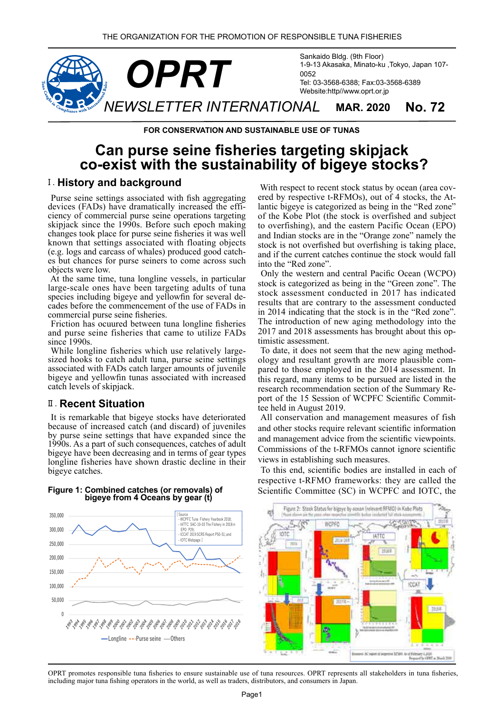

## **FOR CONSERVATION AND SUSTAINABLE USE OF TUNAS**

# **Can purse seine fisheries targeting skipjack** co-exist with the sustainability of bigeye stocks?

# **I. History and background**

Purse seine settings associated with fish aggregating ciency of commercial purse seine operations targeting devices (FADs) have dramatically increased the effiskipjack since the 1990s. Before such epoch making changes took place for purse seine fisheries it was well known that settings associated with floating objects (e.g. logs and carcass of whales) produced good catches but chances for purse seiners to come across such objects were low.

At the same time, tuna longline vessels, in particular large-scale ones have been targeting adults of tuna species including bigeye and yellowfin for several de-<br>cades before the commencement of the use of FADs in commercial purse seine fisheries.

Friction has ocuured between tuna longline fisheries and purse seine fisheries that came to utilize FADs since 1990s.

sized hooks to catch adult tuna, purse seine settings While longline fisheries which use relatively largeassociated with FADs catch larger amounts of juvenile bigeye and yellowfin tunas associated with increased catch levels of skipjack.

# **Ⅱ. Recent Situation**

It is remarkable that bigeye stocks have deteriorated because of increased catch (and discard) of juveniles by purse seine settings that have expanded since the 1990s. As a part of such consequences, catches of adult bigeye have been decreasing and in terms of gear types longline fisheries have shown drastic decline in their bigeye catches.

**350,000** l Source<br>- WCPFC Tuna Fishery Yearbook 2018;<br>- IATTC SAC-10-03 The Fishery in 2018 in **300,000** : EPO P29;<br>2019 SCRS Report P50-51; and -[ Webpage IOTC -**250,000 200,000 150,000 100,000 50,000 0** <sup>ૡૢ</sup>૾ૡૢ૾૾ઌૢ૾૾ૺૡૢ૾૾ૺૡૢ૾૾ૺઌૺ૾ૺઌ૾૾૾ૺઌ<sub>ૻ</sub>ઌૢ<sub>૽</sub>ૺઌૢ<sub>૽</sub>ૺઌૢ૾૾ૺઌૢ૾૾ૺઌૢ૾૾ૺૡૢ

**-Longline ---Purse seine** -- Others

lantic bigeye is categorized as being in the "Red zone" ered by respective t-RFMOs), out of 4 stocks, the At-With respect to recent stock status by ocean (area covof the Kobe Plot (the stock is overfished and subject to overfishing), and the eastern Pacific Ocean (EPO) and Indian stocks are in the "Orange zone" namely the stock is not overfished but overfishing is taking place, and if the current catches continue the stock would fall into the "Red zone".

Only the western and central Pacific Ocean (WCPO) stock is categorized as being in the "Green zone". The stock assessment conducted in 2017 has indicated results that are contrary to the assessment conducted in 2014 indicating that the stock is in the "Red zone". The introduction of new aging methodology into the 2017 and 2018 assessments has brought about this optimistic assessment.

ology and resultant growth are more plausible compared to those employed in the 2014 assessment. In To date, it does not seem that the new aging method-<br>ology and resultant growth are more plausible comthis regard, many items to be pursued are listed in the port of the 15 Session of WCPFC Scientific Commit-<br>tee held in August 2019. research recommendation section of the Summary Report of the 15 Session of WCPFC Scientific Commitresearch recommendation section of the Summary Re-

All conservation and management measures of fish and other stocks require relevant scientific information and management advice from the scientific viewpoints. Commissions of the t-RFMOs cannot ignore scientific views in establishing such measures.

To this end, scientific bodies are installed in each of respective t-RFMO frameworks: they are called the



OPRT promotes responsible tuna fisheries to ensure sustainable use of tuna resources. OPRT represents all stakeholders in tuna fisheries, including major tuna fishing operators in the world, as well as traders, distributors, and consumers in Japan.

# **Figure 1: Combined catches (or removals) of** Scientific Committee (SC) in WCPFC and IOTC, the bigeye from 4 Oceans by gear (t)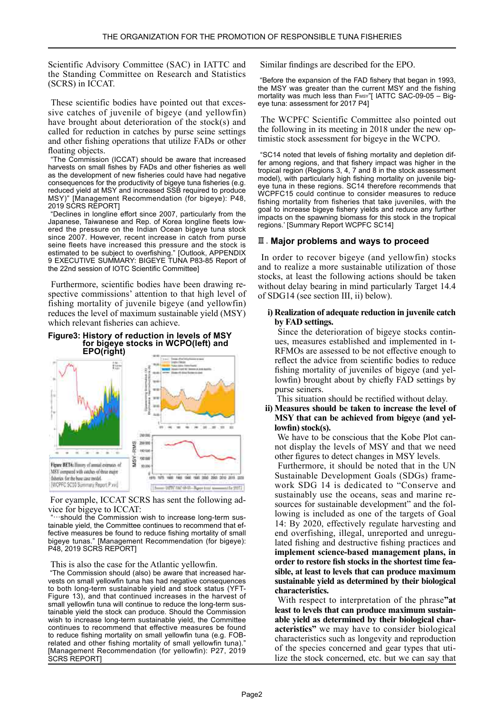Scientific Advisory Committee (SAC) in IATTC and the Standing Committee on Research and Statistics  $(SCRS)$  in  $ICCAT$ .

sive catches of juvenile of bigeye (and yellowfin) These scientific bodies have pointed out that exceshave brought about deterioration of the stock(s) and called for reduction in catches by purse seine settings and other fishing operations that utilize FADs or other floating objects.

"The Commission (ICCAT) should be aware that increased harvests on small fishes by FADs and other fisheries as well as the development of new fisheries could have had negative consequences for the productivity of bigeve tuna fisheries (e.g. reduced yield at MSY and increased SSB required to produce MSY)" [Management Recommendation (for bigeye): P48,  $2019$  SCRS REPORT]

"Declines in longline effort since 2007, particularly from the ered the pressure on the Indian Ocean bigeye tuna stock Japanese, Taiwanese and Rep. of Korea longline fleets lowsince 2007. However, recent increase in catch from purse seine fleets have increased this pressure and the stock is estimated to be subject to overfishing." [Outlook, APPENDIX 9 EXECUTIVE SUMMARY: BIGEYE TUNA P83-85 Report of the 22nd session of IOTC Scientific Committeel

spective commissions' attention to that high level of Furthermore, scientific bodies have been drawing refishing mortality of juvenile bigeye (and yellowfin) reduces the level of maximum sustainable yield (MSY) which relevant fisheries can achieve.

#### **Figure3: History of reduction in levels of MSY** for bigeye stocks in WCPO (left) and EPO(right)



For eyample, ICCAT SCRS has sent the following advice for bigeye to ICCAT: vice for bigeye to ICCAT:<br>- "…should the Commission wish to increase long-term sus-

fective measures be found to reduce fishing mortality of small tainable yield, the Committee continues to recommend that efbigeye tunas." [Management Recommendation (for bigeye): P48, 2019 SCRS REPORTJ

#### This is also the case for the Atlantic vellowfin.

vests on small yellowfin tuna has had negative consequences "The Commission should (also) be aware that increased har-Figure 13), and that continued increases in the harvest of to both long-term sustainable vield and stock status (YFTtainable yield the stock can produce. Should the Commission small yellowfin tuna will continue to reduce the long-term suswish to increase long-term sustainable yield, the Committee continues to recommend that effective measures be found related and other fishing mortality of small yellowfin tuna)." to reduce fishing mortality on small yellowfin tuna (e.g. FOB-[Management Recommendation (for yellowfin): P27, 2019 SCRS REPORT]

Similar findings are described for the EPO.

"Before the expansion of the FAD fishery that began in 1993, the MSY was greater than the current MSY and the fishing mortality was much less than Fહsy"[ IATTC SAC-09-05 – Big-<br>eye tuna: assessment for 2017 P4]

The WCPFC Scientific Committee also pointed out the following in its meeting in 2018 under the new optimistic stock assessment for bigeye in the WCPO.

fer among regions, and that fishery impact was higher in the "SC14 noted that levels of fishing mortality and depletion diftropical region (Regions 3, 4, 7 and 8 in the stock assessment model), with particularly high fishing mortality on juvenile big-<br>eye tuna in these regions. SC14 therefore recommends that WCPFC15 could continue to consider measures to reduce fishing mortality from fisheries that take juveniles, with the goal to increase bigeye fishery yields and reduce any further impacts on the spawning biomass for this stock in the tropical regions.' [Summary Report WCPFC SC14]

# **Ⅱ. Major problems and ways to proceed**

In order to recover bigeye (and yellowfin) stocks and to realize a more sustainable utilization of those stocks, at least the following actions should be taken without delay bearing in mind particularly Target 14.4 of SDG14 (see section III, ii) below).

### **i) Realization of adequate reduction in juvenile catch** by FAD settings.

the us, measures established and implemented in t-<br>RFMOs are assessed to be not effective enough to Since the deterioration of bigeye stocks continues, measures established and implemented in treflect the advice from scientific bodies to reduce lowfin) brought about by chiefly FAD settings by fishing mortality of juveniles of bigeye (and yelpurse seiners.

This situation should be rectified without delay.

ii) Measures should be taken to increase the level of **MSY** that can be achieved from bigeye (and yellowfin) stock(s).

not display the levels of MSY and that we need We have to be conscious that the Kobe Plot canother figures to detect changes in MSY levels.

Furthermore, it should be noted that in the UN work SDG 14 is dedicated to "Conserve and Sustainable Development Goals (SDGs) framesources for sustainable development" and the following is included as one of the targets of Goal sustainably use the oceans, seas and marine resources for sustainable development" and the folsustainably use the oceans, seas and marine re-14: By 2020, effectively regulate harvesting and lated fishing and destructive fishing practices and end overfishing, illegal, unreported and unreguimplement science-based management plans, in sible, at least to levels that can produce maximum order to restore fish stocks in the shortest time feasustainable yield as determined by their biological **.characteristics**

With respect to interpretation of the phrase"at acteristics" we may have to consider biological able yield as determined by their biological charleast to levels that can produce maximum sustaincharacteristics such as longevity and reproduction lize the stock concerned, etc. but we can say that of the species concerned and gear types that uti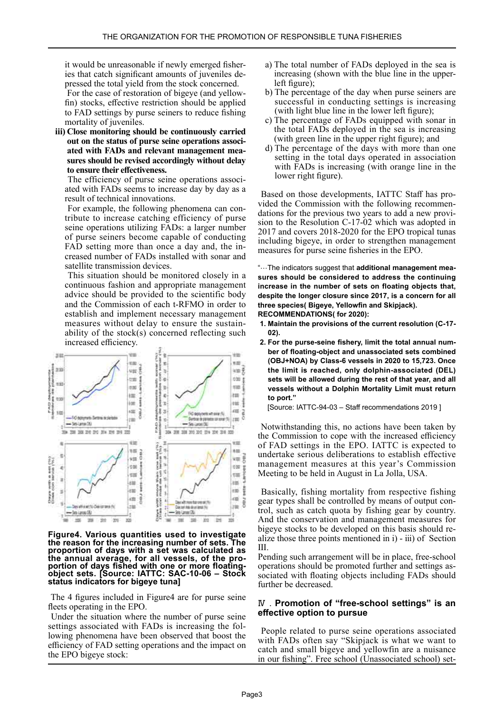pressed the total yield from the stock concerned. ies that catch significant amounts of juveniles deit would be unreasonable if newly emerged fisher-

fin) stocks, effective restriction should be applied For the case of restoration of bigeye (and yellowto FAD settings by purse seiners to reduce fishing mortality of juveniles.

iii) Close monitoring should be continuously carried ated with FADs and relevant management measures should be revised accordingly without delay out on the status of purse seine operations associated with FADs and relevant management meato ensure their effectiveness.

ated with FADs seems to increase day by day as a The efficiency of purse seine operations associresult of technical innovations.

tribute to increase catching efficiency of purse For example, the following phenomena can conseine operations utilizing FADs: a larger number of purse seiners become capable of conducting FAD setting more than once a day and, the increased number of FADs installed with sonar and satellite transmission devices.

This situation should be monitored closely in a continuous fashion and appropriate management advice should be provided to the scientific body and the Commission of each t-RFMO in order to establish and implement necessary management ability of the  $stock(s)$  concerned reflecting such measures without delay to ensure the sustainincreased efficiency.



**Figure4. Various quantities used to investigate** the reason for the increasing number of sets. The proportion of days with a set was calculated as portion of days fished with one or more floating-<br>object sets. [Source: IATTC: SAC-10-06 – Stock the annual average, for all vessels, of the pro-<br>portion of days fished <u>with one or more</u> floating**status indicators for bigeye tuna]** 

The 4 figures included in Figure 4 are for purse seine fleets operating in the EPO.

Under the situation where the number of purse seine the lowing phenomena have been observed that boost the settings associated with FADs is increasing the folefficiency of FAD setting operations and the impact on the EPO bigeye stock:

- a) The total number of FADs deployed in the sea is increasing (shown with the blue line in the upper-<br>left figure);
- b) The percentage of the day when purse seiners are successful in conducting settings is increasing (with light blue line in the lower left figure);
- c) The percentage of FADs equipped with sonar in the total FADs deployed in the sea is increasing (with green line in the upper right figure); and
- d) The percentage of the days with more than one setting in the total days operated in association with FADs is increasing (with orange line in the lower right figure).

dations for the previous two years to add a new provision to the Resolution C-17-02 which was adopted in vided the Commission with the following recommendations for the previous two years to add a new provivided the Commission with the following recommen-Based on those developments, IATTC Staff has pro- $2017$  and covers  $2018-2020$  for the EPO tropical tunas including bigeye, in order to strengthen management measures for purse seine fisheries in the EPO.

sures should be considered to address the continuing "...The indicators suggest that **additional management mea**increase in the number of sets on floating objects that, despite the longer closure since 2017, is a concern for all three species( Bigeye, Yellowfin and Skipjack).

**RECOMMENDATIONS(for 2020):** 

- 1. Maintain the provisions of the current resolution (C-17- $02$
- ber of floating-object and unassociated sets combined 2. For the purse-seine fishery, limit the total annual num-**(OBJ+NOA) by Class-6 vessels in 2020 to 15,723. Once** the limit is reached, only dolphin-associated (DEL) sets will be allowed during the rest of that year, and all vessels without a Dolphin Mortality Limit must return **to** port."

[Source: IATTC-94-03  $-$  Staff recommendations 2019]

Notwithstanding this, no actions have been taken by the Commission to cope with the increased efficiency of FAD settings in the EPO. IATTC is expected to undertake serious deliberations to establish effective management measures at this year's Commission Meeting to be held in August in La Jolla, USA.

Basically, fishing mortality from respective fishing trol, such as catch quota by fishing gear by country. gear types shall be controlled by means of output con-And the conservation and management measures for alize those three points mentioned in  $i$ ) - iii) of Section bigeye stocks to be developed on this basis should re-.Ⅲ

Pending such arrangement will be in place, free-school sociated with floating objects including FADs should operations should be promoted further and settings asfurther be decreased.

# **N** . Promotion of "free-school settings" is an **effective option to pursue**

People related to purse seine operations associated with FADs often say "Skipjack is what we want to catch and small bigeye and yellowfin are a nuisance in our fishing". Free school (Unassociated school) set